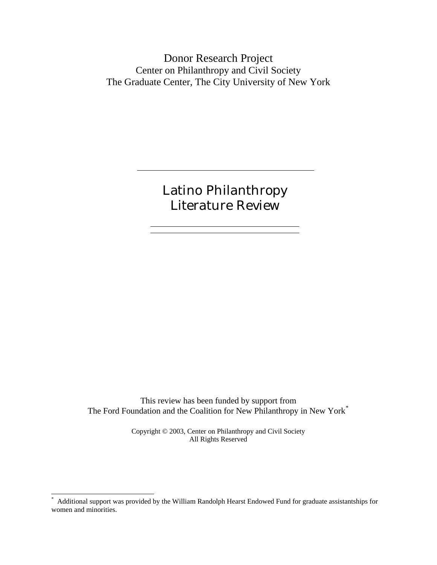Donor Research Project Center on Philanthropy and Civil Society The Graduate Center, The City University of New York

> Latino Philanthropy Literature Review

This review has been funded by support from The Ford Foundation and the Coalition for New Philanthropy in New York[\\*](#page-0-0)

> Copyright © 2003, Center on Philanthropy and Civil Society All Rights Reserved

-

<span id="page-0-0"></span><sup>\*</sup> Additional support was provided by the William Randolph Hearst Endowed Fund for graduate assistantships for women and minorities.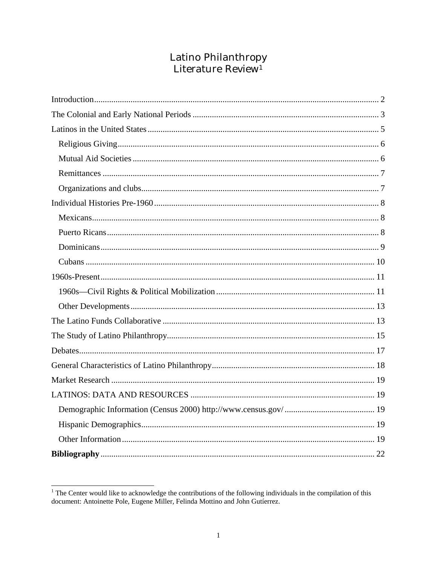# Latino Philanthropy<br>Literature Review<sup>1</sup>

<span id="page-1-0"></span><sup>&</sup>lt;sup>1</sup>The Center would like to acknowledge the contributions of the following individuals in the compilation of this document: Antoinette Pole, Eugene Miller, Felinda Mottino and John Gutierrez.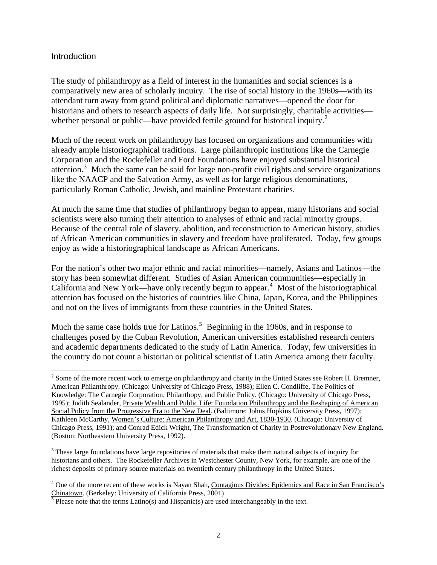#### <span id="page-2-0"></span>**Introduction**

 $\overline{a}$ 

The study of philanthropy as a field of interest in the humanities and social sciences is a comparatively new area of scholarly inquiry. The rise of social history in the 1960s—with its attendant turn away from grand political and diplomatic narratives—opened the door for historians and others to research aspects of daily life. Not surprisingly, charitable activities— whether personal or public—have provided fertile ground for historical inquiry.<sup>[2](#page-2-1)</sup>

Much of the recent work on philanthropy has focused on organizations and communities with already ample historiographical traditions. Large philanthropic institutions like the Carnegie Corporation and the Rockefeller and Ford Foundations have enjoyed substantial historical attention.<sup>[3](#page-2-2)</sup> Much the same can be said for large non-profit civil rights and service organizations like the NAACP and the Salvation Army, as well as for large religious denominations, particularly Roman Catholic, Jewish, and mainline Protestant charities.

At much the same time that studies of philanthropy began to appear, many historians and social scientists were also turning their attention to analyses of ethnic and racial minority groups. Because of the central role of slavery, abolition, and reconstruction to American history, studies of African American communities in slavery and freedom have proliferated. Today, few groups enjoy as wide a historiographical landscape as African Americans.

For the nation's other two major ethnic and racial minorities—namely, Asians and Latinos—the story has been somewhat different. Studies of Asian American communities—especially in California and New York—have only recently begun to appear. $4$  Most of the historiographical attention has focused on the histories of countries like China, Japan, Korea, and the Philippines and not on the lives of immigrants from these countries in the United States.

Much the same case holds true for Latinos.<sup>[5](#page-2-4)</sup> Beginning in the 1960s, and in response to challenges posed by the Cuban Revolution, American universities established research centers and academic departments dedicated to the study of Latin America. Today, few universities in the country do not count a historian or political scientist of Latin America among their faculty.

<span id="page-2-1"></span> $2^{2}$  Some of the more recent work to emerge on philanthropy and charity in the United States see Robert H. Bremner, American Philanthropy. (Chicago: University of Chicago Press, 1988); Ellen C. Condliffe, The Politics of Knowledge: The Carnegie Corporation, Philanthopy, and Public Policy. (Chicago: University of Chicago Press, 1995); Judith Sealander, Private Wealth and Public Life: Foundation Philanthropy and the Reshaping of American Social Policy from the Progressive Era to the New Deal. (Baltimore: Johns Hopkins University Press, 1997); Kathleen McCarthy, Women's Culture: American Philanthropy and Art, 1830-1930. (Chicago: University of Chicago Press, 1991); and Conrad Edick Wright, The Transformation of Charity in Postrevolutionary New England. (Boston: Northeastern University Press, 1992).

<span id="page-2-2"></span><sup>&</sup>lt;sup>3</sup> These large foundations have large repositories of materials that make them natural subjects of inquiry for historians and others. The Rockefeller Archives in Westchester County, New York, for example, are one of the richest deposits of primary source materials on twentieth century philanthropy in the United States.

<span id="page-2-3"></span><sup>&</sup>lt;sup>4</sup> One of the more recent of these works is Nayan Shah, Contagious Divides: Epidemics and Race in San Francisco's

<span id="page-2-4"></span>Chinatown. (Berkeley: University of California Press, 2001)<br><sup>5</sup> Please note that the terms Latino(s) and Hispanic(s) are used interchangeably in the text.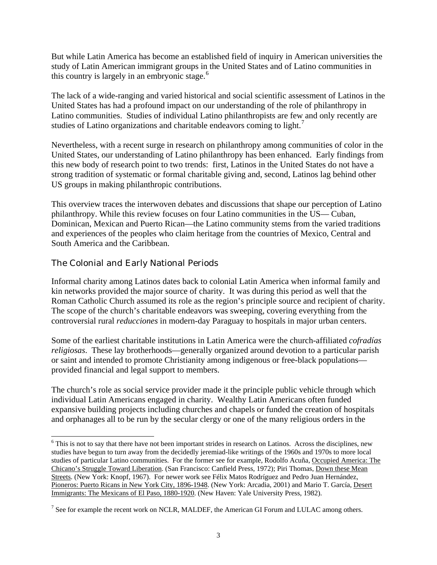<span id="page-3-0"></span>But while Latin America has become an established field of inquiry in American universities the study of Latin American immigrant groups in the United States and of Latino communities in this country is largely in an embryonic stage.<sup>[6](#page-3-1)</sup>

The lack of a wide-ranging and varied historical and social scientific assessment of Latinos in the United States has had a profound impact on our understanding of the role of philanthropy in Latino communities. Studies of individual Latino philanthropists are few and only recently are studies of Latino organizations and charitable endeavors coming to light.<sup>[7](#page-3-2)</sup>

Nevertheless, with a recent surge in research on philanthropy among communities of color in the United States, our understanding of Latino philanthropy has been enhanced. Early findings from this new body of research point to two trends: first, Latinos in the United States do not have a strong tradition of systematic or formal charitable giving and, second, Latinos lag behind other US groups in making philanthropic contributions.

This overview traces the interwoven debates and discussions that shape our perception of Latino philanthropy. While this review focuses on four Latino communities in the US— Cuban, Dominican, Mexican and Puerto Rican—the Latino community stems from the varied traditions and experiences of the peoples who claim heritage from the countries of Mexico, Central and South America and the Caribbean.

# The Colonial and Early National Periods

l

Informal charity among Latinos dates back to colonial Latin America when informal family and kin networks provided the major source of charity. It was during this period as well that the Roman Catholic Church assumed its role as the region's principle source and recipient of charity. The scope of the church's charitable endeavors was sweeping, covering everything from the controversial rural *reducciones* in modern-day Paraguay to hospitals in major urban centers.

Some of the earliest charitable institutions in Latin America were the church-affiliated *cofradías religiosas*. These lay brotherhoods—generally organized around devotion to a particular parish or saint and intended to promote Christianity among indigenous or free-black populations provided financial and legal support to members.

The church's role as social service provider made it the principle public vehicle through which individual Latin Americans engaged in charity. Wealthy Latin Americans often funded expansive building projects including churches and chapels or funded the creation of hospitals and orphanages all to be run by the secular clergy or one of the many religious orders in the

<span id="page-3-1"></span><sup>&</sup>lt;sup>6</sup> This is not to say that there have not been important strides in research on Latinos. Across the disciplines, new studies have begun to turn away from the decidedly jeremiad-like writings of the 1960s and 1970s to more local studies of particular Latino communities. For the former see for example, Rodolfo Acuña, Occupied America: The Chicano's Struggle Toward Liberation. (San Francisco: Canfield Press, 1972); Piri Thomas, Down these Mean Streets. (New York: Knopf, 1967). For newer work see Félix Matos Rodríguez and Pedro Juan Hernández, Pioneros: Puerto Ricans in New York City, 1896-1948. (New York: Arcadia, 2001) and Mario T. García, Desert Immigrants: The Mexicans of El Paso, 1880-1920. (New Haven: Yale University Press, 1982).

<span id="page-3-2"></span> $<sup>7</sup>$  See for example the recent work on NCLR, MALDEF, the American GI Forum and LULAC among others.</sup>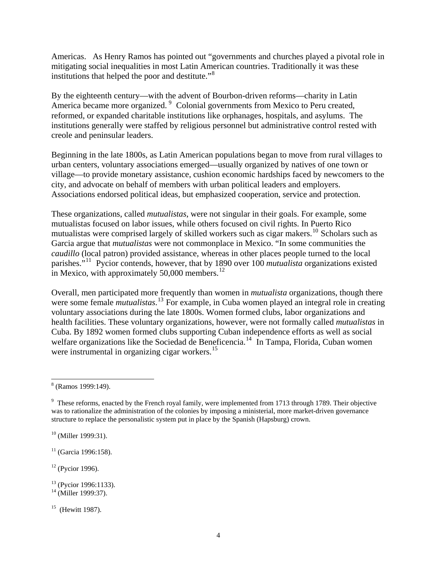Americas. As Henry Ramos has pointed out "governments and churches played a pivotal role in mitigating social inequalities in most Latin American countries. Traditionally it was these institutions that helped the poor and destitute."<sup>[8](#page-4-0)</sup>

By the eighteenth century—with the advent of Bourbon-driven reforms—charity in Latin America became more organized.<sup>[9](#page-4-1)</sup> Colonial governments from Mexico to Peru created, reformed, or expanded charitable institutions like orphanages, hospitals, and asylums. The institutions generally were staffed by religious personnel but administrative control rested with creole and peninsular leaders.

Beginning in the late 1800s, as Latin American populations began to move from rural villages to urban centers, voluntary associations emerged—usually organized by natives of one town or village—to provide monetary assistance, cushion economic hardships faced by newcomers to the city, and advocate on behalf of members with urban political leaders and employers. Associations endorsed political ideas, but emphasized cooperation, service and protection.

These organizations, called *mutualistas*, were not singular in their goals. For example, some mutualistas focused on labor issues, while others focused on civil rights. In Puerto Rico mutualistas were comprised largely of skilled workers such as cigar makers.<sup>[10](#page-4-2)</sup> Scholars such as Garcia argue that *mutualistas* were not commonplace in Mexico. "In some communities the *caudillo* (local patron) provided assistance, whereas in other places people turned to the local parishes."[11](#page-4-3) Pycior contends, however, that by 1890 over 100 *mutualista* organizations existed in Mexico, with approximately  $50,000$  members.<sup>[12](#page-4-4)</sup>

Overall, men participated more frequently than women in *mutualista* organizations, though there were some female *mutualistas*. [13](#page-4-5) For example, in Cuba women played an integral role in creating voluntary associations during the late 1800s. Women formed clubs, labor organizations and health facilities. These voluntary organizations, however, were not formally called *mutualistas* in Cuba. By 1892 women formed clubs supporting Cuban independence efforts as well as social welfare organizations like the Sociedad de Beneficencia.<sup>[14](#page-4-6)</sup> In Tampa, Florida, Cuban women were instrumental in organizing cigar workers.<sup>[15](#page-4-7)</sup>

<span id="page-4-2"></span><sup>10</sup> (Miller 1999:31).

<span id="page-4-3"></span> $11$  (Garcia 1996:158).

<span id="page-4-4"></span> $12$  (Pycior 1996).

<span id="page-4-0"></span> $\overline{a}$ 8 (Ramos 1999:149).

<span id="page-4-1"></span><sup>&</sup>lt;sup>9</sup> These reforms, enacted by the French royal family, were implemented from 1713 through 1789. Their objective was to rationalize the administration of the colonies by imposing a ministerial, more market-driven governance structure to replace the personalistic system put in place by the Spanish (Hapsburg) crown.

<span id="page-4-5"></span><sup>&</sup>lt;sup>13</sup> (Pycior 1996:1133).

<span id="page-4-6"></span> $^{14}$  (Miller 1999:37).

<span id="page-4-7"></span> $15$  (Hewitt 1987).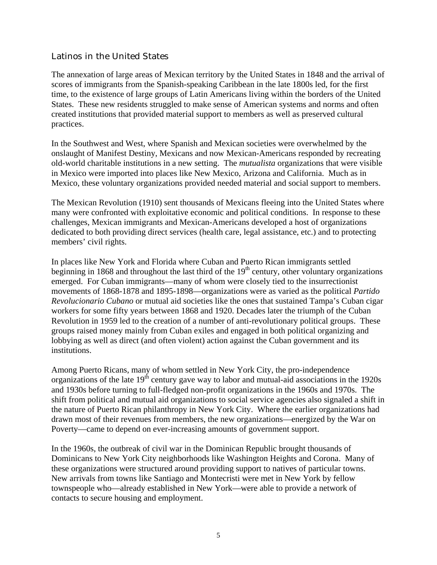# <span id="page-5-0"></span>Latinos in the United States

The annexation of large areas of Mexican territory by the United States in 1848 and the arrival of scores of immigrants from the Spanish-speaking Caribbean in the late 1800s led, for the first time, to the existence of large groups of Latin Americans living within the borders of the United States. These new residents struggled to make sense of American systems and norms and often created institutions that provided material support to members as well as preserved cultural practices.

In the Southwest and West, where Spanish and Mexican societies were overwhelmed by the onslaught of Manifest Destiny, Mexicans and now Mexican-Americans responded by recreating old-world charitable institutions in a new setting. The *mutualista* organizations that were visible in Mexico were imported into places like New Mexico, Arizona and California. Much as in Mexico, these voluntary organizations provided needed material and social support to members.

The Mexican Revolution (1910) sent thousands of Mexicans fleeing into the United States where many were confronted with exploitative economic and political conditions. In response to these challenges, Mexican immigrants and Mexican-Americans developed a host of organizations dedicated to both providing direct services (health care, legal assistance, etc.) and to protecting members' civil rights.

In places like New York and Florida where Cuban and Puerto Rican immigrants settled beginning in 1868 and throughout the last third of the  $19<sup>th</sup>$  century, other voluntary organizations emerged. For Cuban immigrants—many of whom were closely tied to the insurrectionist movements of 1868-1878 and 1895-1898—organizations were as varied as the political *Partido Revolucionario Cubano* or mutual aid societies like the ones that sustained Tampa's Cuban cigar workers for some fifty years between 1868 and 1920. Decades later the triumph of the Cuban Revolution in 1959 led to the creation of a number of anti-revolutionary political groups. These groups raised money mainly from Cuban exiles and engaged in both political organizing and lobbying as well as direct (and often violent) action against the Cuban government and its institutions.

Among Puerto Ricans, many of whom settled in New York City, the pro-independence organizations of the late  $19<sup>th</sup>$  century gave way to labor and mutual-aid associations in the 1920s and 1930s before turning to full-fledged non-profit organizations in the 1960s and 1970s. The shift from political and mutual aid organizations to social service agencies also signaled a shift in the nature of Puerto Rican philanthropy in New York City. Where the earlier organizations had drawn most of their revenues from members, the new organizations—energized by the War on Poverty—came to depend on ever-increasing amounts of government support.

In the 1960s, the outbreak of civil war in the Dominican Republic brought thousands of Dominicans to New York City neighborhoods like Washington Heights and Corona. Many of these organizations were structured around providing support to natives of particular towns. New arrivals from towns like Santiago and Montecristi were met in New York by fellow townspeople who—already established in New York—were able to provide a network of contacts to secure housing and employment.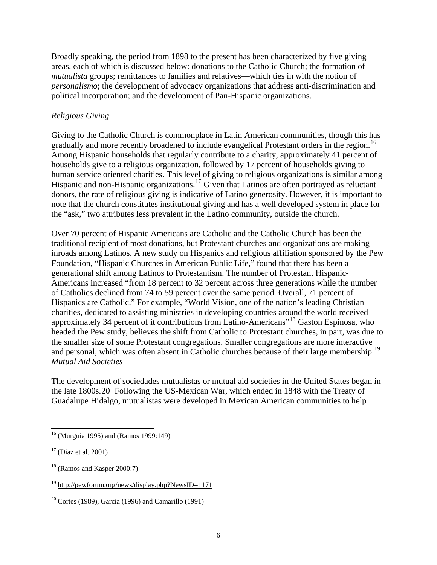<span id="page-6-0"></span>Broadly speaking, the period from 1898 to the present has been characterized by five giving areas, each of which is discussed below: donations to the Catholic Church; the formation of *mutualista* groups; remittances to families and relatives—which ties in with the notion of *personalismo*; the development of advocacy organizations that address anti-discrimination and political incorporation; and the development of Pan-Hispanic organizations.

#### *Religious Giving*

Giving to the Catholic Church is commonplace in Latin American communities, though this has gradually and more recently broadened to include evangelical Protestant orders in the region.<sup>[16](#page-6-1)</sup> Among Hispanic households that regularly contribute to a charity, approximately 41 percent of households give to a religious organization, followed by 17 percent of households giving to human service oriented charities. This level of giving to religious organizations is similar among Hispanic and non-Hispanic organizations.<sup>[17](#page-6-2)</sup> Given that Latinos are often portrayed as reluctant donors, the rate of religious giving is indicative of Latino generosity. However, it is important to note that the church constitutes institutional giving and has a well developed system in place for the "ask," two attributes less prevalent in the Latino community, outside the church.

Over 70 percent of Hispanic Americans are Catholic and the Catholic Church has been the traditional recipient of most donations, but Protestant churches and organizations are making inroads among Latinos. A new study on Hispanics and religious affiliation sponsored by the Pew Foundation, "Hispanic Churches in American Public Life," found that there has been a generational shift among Latinos to Protestantism. The number of Protestant Hispanic-Americans increased "from 18 percent to 32 percent across three generations while the number of Catholics declined from 74 to 59 percent over the same period. Overall, 71 percent of Hispanics are Catholic." For example, "World Vision, one of the nation's leading Christian charities, dedicated to assisting ministries in developing countries around the world received approximately 34 percent of it contributions from Latino-Americans"[18](#page-6-3) Gaston Espinosa, who headed the Pew study, believes the shift from Catholic to Protestant churches, in part, was due to the smaller size of some Protestant congregations. Smaller congregations are more interactive and personal, which was often absent in Catholic churches because of their large membership.<sup>[19](#page-6-4)</sup> *Mutual Aid Societies* 

The development of sociedades mutualistas or mutual aid societies in the United States began in the late 1800s.[20](#page-6-5) Following the US-Mexican War, which ended in 1848 with the Treaty of Guadalupe Hidalgo, mutualistas were developed in Mexican American communities to help

 $\overline{a}$ 

<span id="page-6-1"></span><sup>16 (</sup>Murguia 1995) and (Ramos 1999:149)

<span id="page-6-2"></span> $17$  (Diaz et al. 2001)

<span id="page-6-3"></span> $18$  (Ramos and Kasper 2000:7)

<span id="page-6-4"></span><sup>19</sup> <http://pewforum.org/news/display.php?NewsID=1171>

<span id="page-6-5"></span><sup>&</sup>lt;sup>20</sup> Cortes (1989), Garcia (1996) and Camarillo (1991)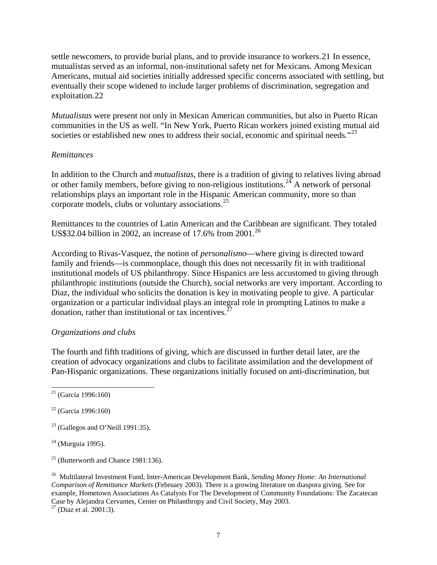<span id="page-7-0"></span>settle newcomers, to provide burial plans, and to provide insurance to workers.[21](#page-7-1) In essence, mutualistas served as an informal, non-institutional safety net for Mexicans. Among Mexican Americans, mutual aid societies initially addressed specific concerns associated with settling, but eventually their scope widened to include larger problems of discrimination, segregation and exploitation.[22](#page-7-2)

*Mutualistas* were present not only in Mexican American communities, but also in Puerto Rican communities in the US as well. "In New York, Puerto Rican workers joined existing mutual aid societies or established new ones to address their social, economic and spiritual needs."<sup>[23](#page-7-3)</sup>

#### *Remittances*

In addition to the Church and *mutualistas*, there is a tradition of giving to relatives living abroad or other family members, before giving to non-religious institutions.<sup>[24](#page-7-4)</sup> A network of personal relationships plays an important role in the Hispanic American community, more so than corporate models, clubs or voluntary associations.[25](#page-7-5)

Remittances to the countries of Latin American and the Caribbean are significant. They totaled US\$32.04 billion in 2002, an increase of 17.6% from  $2001$ .<sup>[26](#page-7-6)</sup>

According to Rivas-Vasquez, the notion of *personalismo*—where giving is directed toward family and friends—is commonplace, though this does not necessarily fit in with traditional institutional models of US philanthropy. Since Hispanics are less accustomed to giving through philanthropic institutions (outside the Church), social networks are very important. According to Diaz, the individual who solicits the donation is key in motivating people to give. A particular organization or a particular individual plays an integral role in prompting Latinos to make a donation, rather than institutional or tax incentives.  $27$ 

#### *Organizations and clubs*

The fourth and fifth traditions of giving, which are discussed in further detail later, are the creation of advocacy organizations and clubs to facilitate assimilation and the development of Pan-Hispanic organizations. These organizations initially focused on anti-discrimination, but

 $\overline{a}$ 

- <span id="page-7-3"></span> $23$  (Gallegos and O'Neill 1991:35).
- <span id="page-7-4"></span> $24$  (Murguia 1995).

<span id="page-7-5"></span> $25$  (Butterworth and Chance 1981:136).

<span id="page-7-6"></span>26 Multilateral Investment Fund, Inter-American Development Bank, *Sending Money Home: An International Comparison of Remittance Markets* (February 2003). There is a growing literature on diaspora giving. See for example, Hometown Associations As Catalysts For The Development of Community Foundations: The Zacatecan Case by Alejandra Cervantes, Center on Philanthropy and Civil Society, May 2003.

<span id="page-7-7"></span> $27$  (Diaz et al. 2001:3).

<span id="page-7-1"></span> $21$  (Garcia 1996:160)

<span id="page-7-2"></span> $22$  (Garcia 1996:160)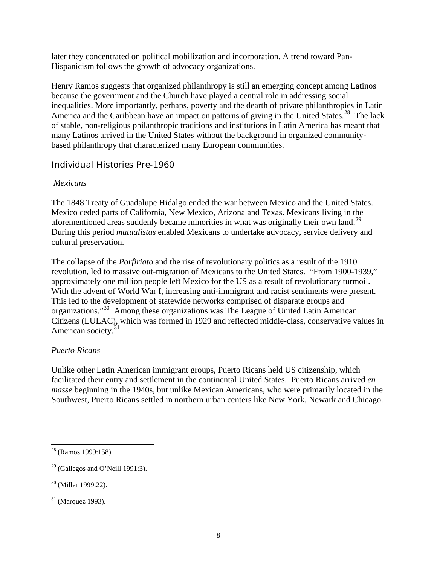<span id="page-8-0"></span>later they concentrated on political mobilization and incorporation. A trend toward Pan-Hispanicism follows the growth of advocacy organizations.

Henry Ramos suggests that organized philanthropy is still an emerging concept among Latinos because the government and the Church have played a central role in addressing social inequalities. More importantly, perhaps, poverty and the dearth of private philanthropies in Latin America and the Caribbean have an impact on patterns of giving in the United States.<sup>[28](#page-8-1)</sup> The lack of stable, non-religious philanthropic traditions and institutions in Latin America has meant that many Latinos arrived in the United States without the background in organized communitybased philanthropy that characterized many European communities.

# Individual Histories Pre-1960

#### *Mexicans*

The 1848 Treaty of Guadalupe Hidalgo ended the war between Mexico and the United States. Mexico ceded parts of California, New Mexico, Arizona and Texas. Mexicans living in the aforementioned areas suddenly became minorities in what was originally their own land.<sup>[29](#page-8-2)</sup> During this period *mutualistas* enabled Mexicans to undertake advocacy, service delivery and cultural preservation.

The collapse of the *Porfiriato* and the rise of revolutionary politics as a result of the 1910 revolution, led to massive out-migration of Mexicans to the United States. "From 1900-1939," approximately one million people left Mexico for the US as a result of revolutionary turmoil. With the advent of World War I, increasing anti-immigrant and racist sentiments were present. This led to the development of statewide networks comprised of disparate groups and organizations."[30](#page-8-3) Among these organizations was The League of United Latin American Citizens (LULAC), which was formed in 1929 and reflected middle-class, conservative values in American society.<sup>[31](#page-8-4)</sup>

#### *Puerto Ricans*

Unlike other Latin American immigrant groups, Puerto Ricans held US citizenship, which facilitated their entry and settlement in the continental United States. Puerto Ricans arrived *en masse* beginning in the 1940s, but unlike Mexican Americans, who were primarily located in the Southwest, Puerto Ricans settled in northern urban centers like New York, Newark and Chicago.

 $\overline{a}$ 

<span id="page-8-1"></span> $28$  (Ramos 1999:158).

<span id="page-8-2"></span> $29$  (Gallegos and O'Neill 1991:3).

<span id="page-8-3"></span><sup>30 (</sup>Miller 1999:22).

<span id="page-8-4"></span> $31$  (Marquez 1993).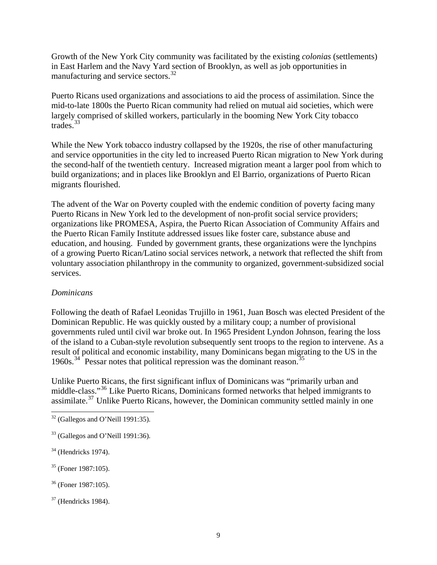<span id="page-9-0"></span>Growth of the New York City community was facilitated by the existing *colonias* (settlements) in East Harlem and the Navy Yard section of Brooklyn, as well as job opportunities in manufacturing and service sectors.[32](#page-9-1)

Puerto Ricans used organizations and associations to aid the process of assimilation. Since the mid-to-late 1800s the Puerto Rican community had relied on mutual aid societies, which were largely comprised of skilled workers, particularly in the booming New York City tobacco trades.[33](#page-9-2)

While the New York tobacco industry collapsed by the 1920s, the rise of other manufacturing and service opportunities in the city led to increased Puerto Rican migration to New York during the second-half of the twentieth century. Increased migration meant a larger pool from which to build organizations; and in places like Brooklyn and El Barrio, organizations of Puerto Rican migrants flourished.

The advent of the War on Poverty coupled with the endemic condition of poverty facing many Puerto Ricans in New York led to the development of non-profit social service providers; organizations like PROMESA, Aspira, the Puerto Rican Association of Community Affairs and the Puerto Rican Family Institute addressed issues like foster care, substance abuse and education, and housing. Funded by government grants, these organizations were the lynchpins of a growing Puerto Rican/Latino social services network, a network that reflected the shift from voluntary association philanthropy in the community to organized, government-subsidized social services.

#### *Dominicans*

Following the death of Rafael Leonidas Trujillo in 1961, Juan Bosch was elected President of the Dominican Republic. He was quickly ousted by a military coup; a number of provisional governments ruled until civil war broke out. In 1965 President Lyndon Johnson, fearing the loss of the island to a Cuban-style revolution subsequently sent troops to the region to intervene. As a result of political and economic instability, many Dominicans began migrating to the US in the 1960s.<sup>[34](#page-9-3)</sup> Pessar notes that political repression was the dominant reason.<sup>[35](#page-9-4)</sup>

Unlike Puerto Ricans, the first significant influx of Dominicans was "primarily urban and middle-class."[36](#page-9-5) Like Puerto Ricans, Dominicans formed networks that helped immigrants to assimilate.<sup>[37](#page-9-6)</sup> Unlike Puerto Ricans, however, the Dominican community settled mainly in one

- <span id="page-9-4"></span>35 (Foner 1987:105).
- <span id="page-9-5"></span>36 (Foner 1987:105).
- <span id="page-9-6"></span> $37$  (Hendricks 1984).

<span id="page-9-1"></span> $\overline{a}$  $32$  (Gallegos and O'Neill 1991:35).

<span id="page-9-2"></span><sup>33 (</sup>Gallegos and O'Neill 1991:36).

<span id="page-9-3"></span> $34$  (Hendricks 1974).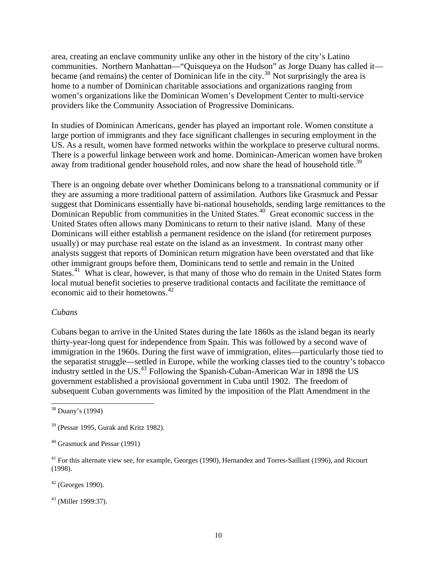<span id="page-10-0"></span>area, creating an enclave community unlike any other in the history of the city's Latino communities. Northern Manhattan—"Quisqueya on the Hudson" as Jorge Duany has called it— became (and remains) the center of Dominican life in the city.<sup>[38](#page-10-1)</sup> Not surprisingly the area is home to a number of Dominican charitable associations and organizations ranging from women's organizations like the Dominican Women's Development Center to multi-service providers like the Community Association of Progressive Dominicans.

In studies of Dominican Americans, gender has played an important role. Women constitute a large portion of immigrants and they face significant challenges in securing employment in the US. As a result, women have formed networks within the workplace to preserve cultural norms. There is a powerful linkage between work and home. Dominican-American women have broken away from traditional gender household roles, and now share the head of household title.<sup>[39](#page-10-2)</sup>

There is an ongoing debate over whether Dominicans belong to a transnational community or if they are assuming a more traditional pattern of assimilation. Authors like Grasmuck and Pessar suggest that Dominicans essentially have bi-national households, sending large remittances to the Dominican Republic from communities in the United States.<sup>[40](#page-10-3)</sup> Great economic success in the United States often allows many Dominicans to return to their native island. Many of these Dominicans will either establish a permanent residence on the island (for retirement purposes usually) or may purchase real estate on the island as an investment. In contrast many other analysts suggest that reports of Dominican return migration have been overstated and that like other immigrant groups before them, Dominicans tend to settle and remain in the United States.<sup>[41](#page-10-4)</sup> What is clear, however, is that many of those who do remain in the United States form local mutual benefit societies to preserve traditional contacts and facilitate the remittance of economic aid to their hometowns.  $42$ 

#### *Cubans*

Cubans began to arrive in the United States during the late 1860s as the island began its nearly thirty-year-long quest for independence from Spain. This was followed by a second wave of immigration in the 1960s. During the first wave of immigration, elites—particularly those tied to the separatist struggle—settled in Europe, while the working classes tied to the country's tobacco industry settled in the US.[43](#page-10-6) Following the Spanish-Cuban-American War in 1898 the US government established a provisional government in Cuba until 1902. The freedom of subsequent Cuban governments was limited by the imposition of the Platt Amendment in the

 $\overline{a}$ 

<span id="page-10-5"></span> $42$  (Georges 1990).

<span id="page-10-6"></span>43 (Miller 1999:37).

<span id="page-10-1"></span><sup>38</sup> Duany's (1994)

<span id="page-10-2"></span><sup>39 (</sup>Pessar 1995, Gurak and Kritz 1982).

<span id="page-10-3"></span><sup>40</sup> Grasmuck and Pessar (1991)

<span id="page-10-4"></span><sup>&</sup>lt;sup>41</sup> For this alternate view see, for example, Georges (1990), Hernandez and Torres-Saillant (1996), and Ricourt (1998).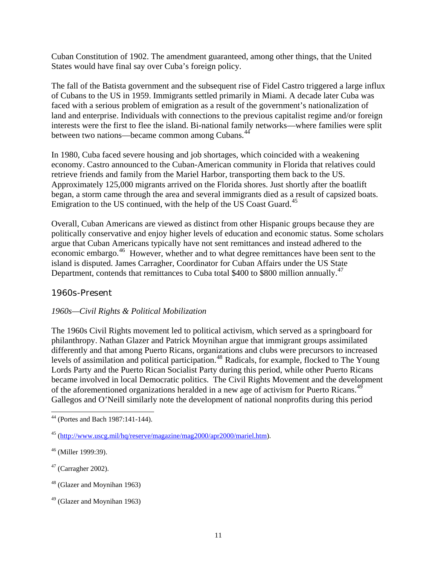<span id="page-11-0"></span>Cuban Constitution of 1902. The amendment guaranteed, among other things, that the United States would have final say over Cuba's foreign policy.

The fall of the Batista government and the subsequent rise of Fidel Castro triggered a large influx of Cubans to the US in 1959. Immigrants settled primarily in Miami. A decade later Cuba was faced with a serious problem of emigration as a result of the government's nationalization of land and enterprise. Individuals with connections to the previous capitalist regime and/or foreign interests were the first to flee the island. Bi-national family networks—where families were split between two nations—became common among Cubans.<sup>[44](#page-11-1)</sup>

In 1980, Cuba faced severe housing and job shortages, which coincided with a weakening economy. Castro announced to the Cuban-American community in Florida that relatives could retrieve friends and family from the Mariel Harbor, transporting them back to the US. Approximately 125,000 migrants arrived on the Florida shores. Just shortly after the boatlift began, a storm came through the area and several immigrants died as a result of capsized boats. Emigration to the US continued, with the help of the US Coast Guard.<sup>[45](#page-11-2)</sup>

Overall, Cuban Americans are viewed as distinct from other Hispanic groups because they are politically conservative and enjoy higher levels of education and economic status. Some scholars argue that Cuban Americans typically have not sent remittances and instead adhered to the economic embargo.<sup>[46](#page-11-3)</sup> However, whether and to what degree remittances have been sent to the island is disputed. James Carragher, Coordinator for Cuban Affairs under the US State Department, contends that remittances to Cuba total \$400 to \$800 million annually.<sup>[47](#page-11-4)</sup>

#### 1960s-Present

#### *1960s—Civil Rights & Political Mobilization*

The 1960s Civil Rights movement led to political activism, which served as a springboard for philanthropy. Nathan Glazer and Patrick Moynihan argue that immigrant groups assimilated differently and that among Puerto Ricans, organizations and clubs were precursors to increased levels of assimilation and political participation.<sup>[48](#page-11-5)</sup> Radicals, for example, flocked to The Young Lords Party and the Puerto Rican Socialist Party during this period, while other Puerto Ricans became involved in local Democratic politics. The Civil Rights Movement and the development of the aforementioned organizations heralded in a new age of activism for Puerto Ricans.<sup>[49](#page-11-6)</sup> Gallegos and O'Neill similarly note the development of national nonprofits during this period

<span id="page-11-1"></span> $\overline{a}$ 44 (Portes and Bach 1987:141-144).

<span id="page-11-2"></span><sup>45</sup> [\(http://www.uscg.mil/hq/reserve/magazine/mag2000/apr2000/mariel.htm\)](http://www.uscg.mil/hq/reserve/magazine/mag2000/apr2000/mariel.htm).

<span id="page-11-3"></span><sup>46 (</sup>Miller 1999:39).

<span id="page-11-4"></span> $47$  (Carragher 2002).

<span id="page-11-5"></span><sup>48 (</sup>Glazer and Moynihan 1963)

<span id="page-11-6"></span> $49$  (Glazer and Moynihan 1963)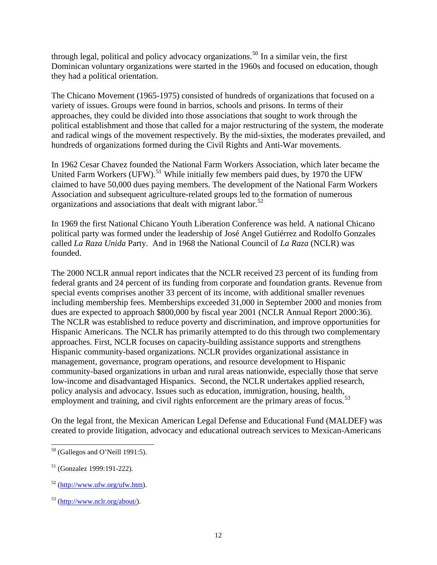through legal, political and policy advocacy organizations.<sup>[50](#page-12-0)</sup> In a similar vein, the first Dominican voluntary organizations were started in the 1960s and focused on education, though they had a political orientation.

The Chicano Movement (1965-1975) consisted of hundreds of organizations that focused on a variety of issues. Groups were found in barrios, schools and prisons. In terms of their approaches, they could be divided into those associations that sought to work through the political establishment and those that called for a major restructuring of the system, the moderate and radical wings of the movement respectively. By the mid-sixties, the moderates prevailed, and hundreds of organizations formed during the Civil Rights and Anti-War movements.

In 1962 Cesar Chavez founded the National Farm Workers Association, which later became the United Farm Workers (UFW).<sup>[51](#page-12-1)</sup> While initially few members paid dues, by 1970 the UFW claimed to have 50,000 dues paying members. The development of the National Farm Workers Association and subsequent agriculture-related groups led to the formation of numerous organizations and associations that dealt with migrant labor.<sup>[52](#page-12-2)</sup>

In 1969 the first National Chicano Youth Liberation Conference was held. A national Chicano political party was formed under the leadership of José Angel Gutiérrez and Rodolfo Gonzales called *La Raza Unida* Party. And in 1968 the National Council of *La Raza* (NCLR) was founded.

The 2000 NCLR annual report indicates that the NCLR received 23 percent of its funding from federal grants and 24 percent of its funding from corporate and foundation grants. Revenue from special events comprises another 33 percent of its income, with additional smaller revenues including membership fees. Memberships exceeded 31,000 in September 2000 and monies from dues are expected to approach \$800,000 by fiscal year 2001 (NCLR Annual Report 2000:36). The NCLR was established to reduce poverty and discrimination, and improve opportunities for Hispanic Americans. The NCLR has primarily attempted to do this through two complementary approaches. First, NCLR focuses on capacity-building assistance supports and strengthens Hispanic community-based organizations. NCLR provides organizational assistance in management, governance, program operations, and resource development to Hispanic community-based organizations in urban and rural areas nationwide, especially those that serve low-income and disadvantaged Hispanics. Second, the NCLR undertakes applied research, policy analysis and advocacy. Issues such as education, immigration, housing, health, employment and training, and civil rights enforcement are the primary areas of focus.<sup>[53](#page-12-3)</sup>

On the legal front, the Mexican American Legal Defense and Educational Fund (MALDEF) was created to provide litigation, advocacy and educational outreach services to Mexican-Americans

 $\overline{a}$ 

<span id="page-12-0"></span> $50$  (Gallegos and O'Neill 1991:5).

<span id="page-12-1"></span><sup>51 (</sup>Gonzalez 1999:191-222).

<span id="page-12-2"></span><sup>52</sup> [\(http://www.ufw.org/ufw.htm](http://www.ufw.org/ufw.htm)).

<span id="page-12-3"></span><sup>53</sup> [\(http://www.nclr.org/about/](http://www.nclr.org/about/)).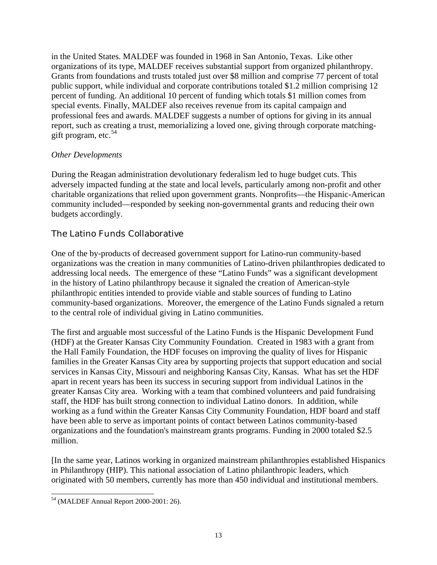<span id="page-13-0"></span>in the United States. MALDEF was founded in 1968 in San Antonio, Texas. Like other organizations of its type, MALDEF receives substantial support from organized philanthropy. Grants from foundations and trusts totaled just over \$8 million and comprise 77 percent of total public support, while individual and corporate contributions totaled \$1.2 million comprising 12 percent of funding. An additional 10 percent of funding which totals \$1 million comes from special events. Finally, MALDEF also receives revenue from its capital campaign and professional fees and awards. MALDEF suggests a number of options for giving in its annual report, such as creating a trust, memorializing a loved one, giving through corporate matchinggift program, etc.  $54$ 

#### *Other Developments*

During the Reagan administration devolutionary federalism led to huge budget cuts. This adversely impacted funding at the state and local levels, particularly among non-profit and other charitable organizations that relied upon government grants. Nonprofits—the Hispanic-American community included—responded by seeking non-governmental grants and reducing their own budgets accordingly.

# The Latino Funds Collaborative

One of the by-products of decreased government support for Latino-run community-based organizations was the creation in many communities of Latino-driven philanthropies dedicated to addressing local needs. The emergence of these "Latino Funds" was a significant development in the history of Latino philanthropy because it signaled the creation of American-style philanthropic entities intended to provide viable and stable sources of funding to Latino community-based organizations. Moreover, the emergence of the Latino Funds signaled a return to the central role of individual giving in Latino communities.

The first and arguable most successful of the Latino Funds is the Hispanic Development Fund (HDF) at the Greater Kansas City Community Foundation. Created in 1983 with a grant from the Hall Family Foundation, the HDF focuses on improving the quality of lives for Hispanic families in the Greater Kansas City area by supporting projects that support education and social services in Kansas City, Missouri and neighboring Kansas City, Kansas. What has set the HDF apart in recent years has been its success in securing support from individual Latinos in the greater Kansas City area. Working with a team that combined volunteers and paid fundraising staff, the HDF has built strong connection to individual Latino donors. In addition, while working as a fund within the Greater Kansas City Community Foundation, HDF board and staff have been able to serve as important points of contact between Latinos community-based organizations and the foundation's mainstream grants programs. Funding in 2000 totaled \$2.5 million.

[In the same year, Latinos working in organized mainstream philanthropies established Hispanics in Philanthropy (HIP). This national association of Latino philanthropic leaders, which originated with 50 members, currently has more than 450 individual and institutional members.

<span id="page-13-1"></span> $\overline{a}$ 54 (MALDEF Annual Report 2000-2001: 26).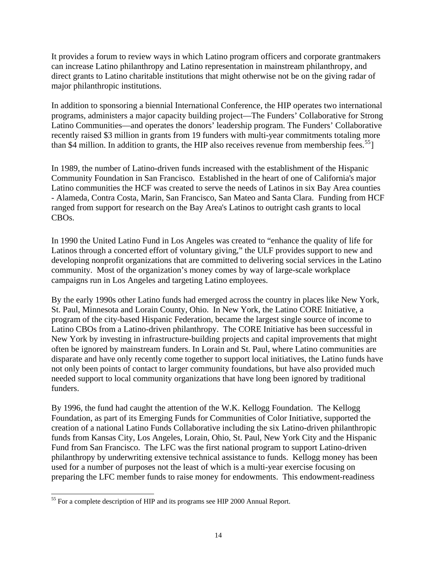It provides a forum to review ways in which Latino program officers and corporate grantmakers can increase Latino philanthropy and Latino representation in mainstream philanthropy, and direct grants to Latino charitable institutions that might otherwise not be on the giving radar of major philanthropic institutions.

In addition to sponsoring a biennial International Conference, the HIP operates two international programs, administers a major capacity building project—The Funders' Collaborative for Strong Latino Communities—and operates the donors' leadership program. The Funders' Collaborative recently raised \$3 million in grants from 19 funders with multi-year commitments totaling more than \$4 million. In addition to grants, the HIP also receives revenue from membership fees.<sup>[55](#page-14-0)</sup>

In 1989, the number of Latino-driven funds increased with the establishment of the Hispanic Community Foundation in San Francisco. Established in the heart of one of California's major Latino communities the HCF was created to serve the needs of Latinos in six Bay Area counties - Alameda, Contra Costa, Marin, San Francisco, San Mateo and Santa Clara. Funding from HCF ranged from support for research on the Bay Area's Latinos to outright cash grants to local CBOs.

In 1990 the United Latino Fund in Los Angeles was created to "enhance the quality of life for Latinos through a concerted effort of voluntary giving," the ULF provides support to new and developing nonprofit organizations that are committed to delivering social services in the Latino community. Most of the organization's money comes by way of large-scale workplace campaigns run in Los Angeles and targeting Latino employees.

By the early 1990s other Latino funds had emerged across the country in places like New York, St. Paul, Minnesota and Lorain County, Ohio. In New York, the Latino CORE Initiative, a program of the city-based Hispanic Federation, became the largest single source of income to Latino CBOs from a Latino-driven philanthropy. The CORE Initiative has been successful in New York by investing in infrastructure-building projects and capital improvements that might often be ignored by mainstream funders. In Lorain and St. Paul, where Latino communities are disparate and have only recently come together to support local initiatives, the Latino funds have not only been points of contact to larger community foundations, but have also provided much needed support to local community organizations that have long been ignored by traditional funders.

By 1996, the fund had caught the attention of the W.K. Kellogg Foundation. The Kellogg Foundation, as part of its Emerging Funds for Communities of Color Initiative, supported the creation of a national Latino Funds Collaborative including the six Latino-driven philanthropic funds from Kansas City, Los Angeles, Lorain, Ohio, St. Paul, New York City and the Hispanic Fund from San Francisco. The LFC was the first national program to support Latino-driven philanthropy by underwriting extensive technical assistance to funds. Kellogg money has been used for a number of purposes not the least of which is a multi-year exercise focusing on preparing the LFC member funds to raise money for endowments. This endowment-readiness

<span id="page-14-0"></span> $\overline{a}$ <sup>55</sup> For a complete description of HIP and its programs see HIP 2000 Annual Report.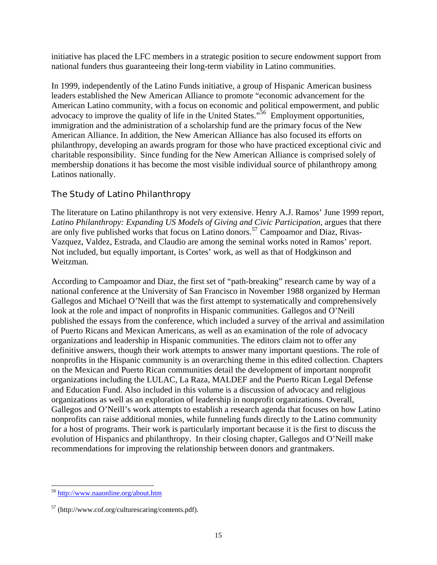<span id="page-15-0"></span>initiative has placed the LFC members in a strategic position to secure endowment support from national funders thus guaranteeing their long-term viability in Latino communities.

In 1999, independently of the Latino Funds initiative, a group of Hispanic American business leaders established the New American Alliance to promote "economic advancement for the American Latino community, with a focus on economic and political empowerment, and public advocacy to improve the quality of life in the United States."<sup>[56](#page-15-1)</sup> Employment opportunities, immigration and the administration of a scholarship fund are the primary focus of the New American Alliance. In addition, the New American Alliance has also focused its efforts on philanthropy, developing an awards program for those who have practiced exceptional civic and charitable responsibility. Since funding for the New American Alliance is comprised solely of membership donations it has become the most visible individual source of philanthropy among Latinos nationally.

# The Study of Latino Philanthropy

The literature on Latino philanthropy is not very extensive. Henry A.J. Ramos' June 1999 report, *Latino Philanthropy: Expanding US Models of Giving and Civic Participation*, argues that there are only five published works that focus on Latino donors.<sup>[57](#page-15-2)</sup> Campoamor and Diaz, Rivas-Vazquez, Valdez, Estrada, and Claudio are among the seminal works noted in Ramos' report. Not included, but equally important, is Cortes' work, as well as that of Hodgkinson and Weitzman.

According to Campoamor and Diaz, the first set of "path-breaking" research came by way of a national conference at the University of San Francisco in November 1988 organized by Herman Gallegos and Michael O'Neill that was the first attempt to systematically and comprehensively look at the role and impact of nonprofits in Hispanic communities. Gallegos and O'Neill published the essays from the conference, which included a survey of the arrival and assimilation of Puerto Ricans and Mexican Americans, as well as an examination of the role of advocacy organizations and leadership in Hispanic communities. The editors claim not to offer any definitive answers, though their work attempts to answer many important questions. The role of nonprofits in the Hispanic community is an overarching theme in this edited collection. Chapters on the Mexican and Puerto Rican communities detail the development of important nonprofit organizations including the LULAC, La Raza, MALDEF and the Puerto Rican Legal Defense and Education Fund. Also included in this volume is a discussion of advocacy and religious organizations as well as an exploration of leadership in nonprofit organizations. Overall, Gallegos and O'Neill's work attempts to establish a research agenda that focuses on how Latino nonprofits can raise additional monies, while funneling funds directly to the Latino community for a host of programs. Their work is particularly important because it is the first to discuss the evolution of Hispanics and philanthropy. In their closing chapter, Gallegos and O'Neill make recommendations for improving the relationship between donors and grantmakers.

<span id="page-15-1"></span>l <sup>56</sup> <http://www.naaonline.org/about.htm>

<span id="page-15-2"></span><sup>57</sup> [\(http://www.cof.org/culturescaring/](http://www.cof.org/culturescaring/)contents.pdf).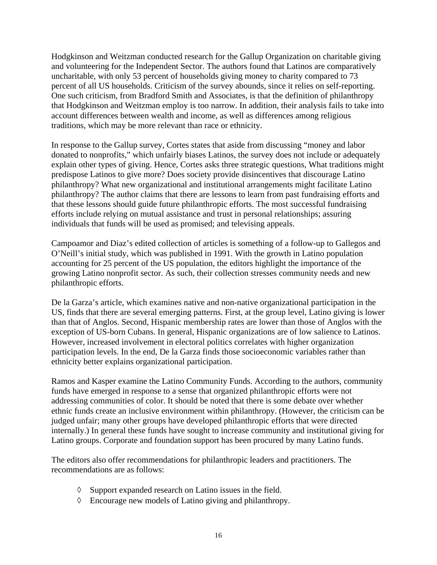Hodgkinson and Weitzman conducted research for the Gallup Organization on charitable giving and volunteering for the Independent Sector. The authors found that Latinos are comparatively uncharitable, with only 53 percent of households giving money to charity compared to 73 percent of all US households. Criticism of the survey abounds, since it relies on self-reporting. One such criticism, from Bradford Smith and Associates, is that the definition of philanthropy that Hodgkinson and Weitzman employ is too narrow. In addition, their analysis fails to take into account differences between wealth and income, as well as differences among religious traditions, which may be more relevant than race or ethnicity.

In response to the Gallup survey, Cortes states that aside from discussing "money and labor donated to nonprofits," which unfairly biases Latinos, the survey does not include or adequately explain other types of giving. Hence, Cortes asks three strategic questions, What traditions might predispose Latinos to give more? Does society provide disincentives that discourage Latino philanthropy? What new organizational and institutional arrangements might facilitate Latino philanthropy? The author claims that there are lessons to learn from past fundraising efforts and that these lessons should guide future philanthropic efforts. The most successful fundraising efforts include relying on mutual assistance and trust in personal relationships; assuring individuals that funds will be used as promised; and televising appeals.

Campoamor and Diaz's edited collection of articles is something of a follow-up to Gallegos and O'Neill's initial study, which was published in 1991. With the growth in Latino population accounting for 25 percent of the US population, the editors highlight the importance of the growing Latino nonprofit sector. As such, their collection stresses community needs and new philanthropic efforts.

De la Garza's article, which examines native and non-native organizational participation in the US, finds that there are several emerging patterns. First, at the group level, Latino giving is lower than that of Anglos. Second, Hispanic membership rates are lower than those of Anglos with the exception of US-born Cubans. In general, Hispanic organizations are of low salience to Latinos. However, increased involvement in electoral politics correlates with higher organization participation levels. In the end, De la Garza finds those socioeconomic variables rather than ethnicity better explains organizational participation.

Ramos and Kasper examine the Latino Community Funds. According to the authors, community funds have emerged in response to a sense that organized philanthropic efforts were not addressing communities of color. It should be noted that there is some debate over whether ethnic funds create an inclusive environment within philanthropy. (However, the criticism can be judged unfair; many other groups have developed philanthropic efforts that were directed internally.) In general these funds have sought to increase community and institutional giving for Latino groups. Corporate and foundation support has been procured by many Latino funds.

The editors also offer recommendations for philanthropic leaders and practitioners. The recommendations are as follows:

- ◊ Support expanded research on Latino issues in the field.
- ◊ Encourage new models of Latino giving and philanthropy.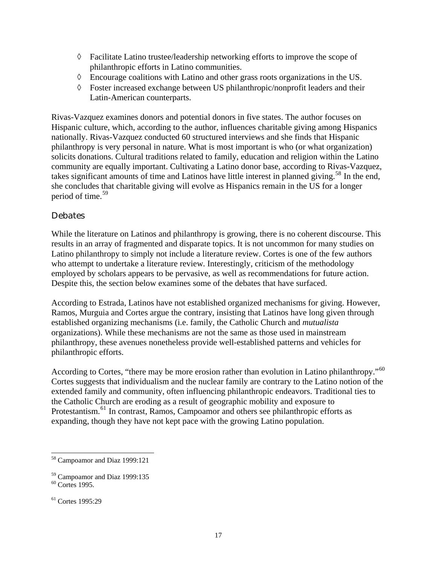- <span id="page-17-0"></span> $\Diamond$  Facilitate Latino trustee/leadership networking efforts to improve the scope of philanthropic efforts in Latino communities.
- ◊ Encourage coalitions with Latino and other grass roots organizations in the US.
- ◊ Foster increased exchange between US philanthropic/nonprofit leaders and their Latin-American counterparts.

Rivas-Vazquez examines donors and potential donors in five states. The author focuses on Hispanic culture, which, according to the author, influences charitable giving among Hispanics nationally. Rivas-Vazquez conducted 60 structured interviews and she finds that Hispanic philanthropy is very personal in nature. What is most important is who (or what organization) solicits donations. Cultural traditions related to family, education and religion within the Latino community are equally important. Cultivating a Latino donor base, according to Rivas-Vazquez, takes significant amounts of time and Latinos have little interest in planned giving.<sup>[58](#page-17-1)</sup> In the end, she concludes that charitable giving will evolve as Hispanics remain in the US for a longer period of time.<sup>[59](#page-17-2)</sup>

#### Debates

While the literature on Latinos and philanthropy is growing, there is no coherent discourse. This results in an array of fragmented and disparate topics. It is not uncommon for many studies on Latino philanthropy to simply not include a literature review. Cortes is one of the few authors who attempt to undertake a literature review. Interestingly, criticism of the methodology employed by scholars appears to be pervasive, as well as recommendations for future action. Despite this, the section below examines some of the debates that have surfaced.

According to Estrada, Latinos have not established organized mechanisms for giving. However, Ramos, Murguia and Cortes argue the contrary, insisting that Latinos have long given through established organizing mechanisms (i.e. family, the Catholic Church and *mutualista*  organizations). While these mechanisms are not the same as those used in mainstream philanthropy, these avenues nonetheless provide well-established patterns and vehicles for philanthropic efforts.

According to Cortes, "there may be more erosion rather than evolution in Latino philanthropy."<sup>[60](#page-17-3)</sup> Cortes suggests that individualism and the nuclear family are contrary to the Latino notion of the extended family and community, often influencing philanthropic endeavors. Traditional ties to the Catholic Church are eroding as a result of geographic mobility and exposure to Protestantism.<sup>[61](#page-17-4)</sup> In contrast, Ramos, Campoamor and others see philanthropic efforts as expanding, though they have not kept pace with the growing Latino population.

 $\overline{a}$ 

<span id="page-17-1"></span><sup>&</sup>lt;sup>58</sup> Campoamor and Diaz 1999:121

<span id="page-17-2"></span><sup>59</sup> Campoamor and Diaz 1999:135

<span id="page-17-3"></span><sup>60</sup> Cortes 1995.

<span id="page-17-4"></span><sup>&</sup>lt;sup>61</sup> Cortes 1995:29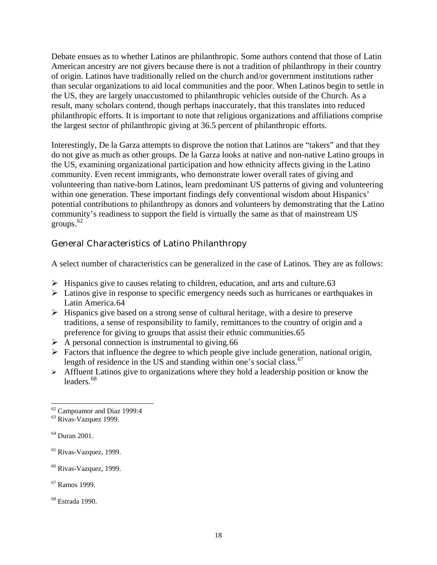<span id="page-18-0"></span>Debate ensues as to whether Latinos are philanthropic. Some authors contend that those of Latin American ancestry are not givers because there is not a tradition of philanthropy in their country of origin. Latinos have traditionally relied on the church and/or government institutions rather than secular organizations to aid local communities and the poor. When Latinos begin to settle in the US, they are largely unaccustomed to philanthropic vehicles outside of the Church. As a result, many scholars contend, though perhaps inaccurately, that this translates into reduced philanthropic efforts. It is important to note that religious organizations and affiliations comprise the largest sector of philanthropic giving at 36.5 percent of philanthropic efforts.

Interestingly, De la Garza attempts to disprove the notion that Latinos are "takers" and that they do not give as much as other groups. De la Garza looks at native and non-native Latino groups in the US, examining organizational participation and how ethnicity affects giving in the Latino community. Even recent immigrants, who demonstrate lower overall rates of giving and volunteering than native-born Latinos, learn predominant US patterns of giving and volunteering within one generation. These important findings defy conventional wisdom about Hispanics' potential contributions to philanthropy as donors and volunteers by demonstrating that the Latino community's readiness to support the field is virtually the same as that of mainstream US groups. $62$ 

# General Characteristics of Latino Philanthropy

A select number of characteristics can be generalized in the case of Latinos. They are as follows:

- $\triangleright$  Hispanics give to causes relating to children, education, and arts and culture.[63](#page-18-2)
- $\triangleright$  Latinos give in response to specific emergency needs such as hurricanes or earthquakes in Latin America.[64](#page-18-3)
- $\triangleright$  Hispanics give based on a strong sense of cultural heritage, with a desire to preserve traditions, a sense of responsibility to family, remittances to the country of origin and a preference for giving to groups that assist their ethnic communities.[65](#page-18-4)
- $\triangleright$  A personal connection is instrumental to giving.[66](#page-18-5)
- $\triangleright$  Factors that influence the degree to which people give include generation, national origin, length of residence in the US and standing within one's social class.<sup>[67](#page-18-6)</sup>
- $\triangleright$  Affluent Latinos give to organizations where they hold a leadership position or know the leaders.<sup>[68](#page-18-7)</sup>

- <span id="page-18-4"></span>65 Rivas-Vazquez, 1999.
- <span id="page-18-5"></span><sup>66</sup> Rivas-Vazquez, 1999.
- <span id="page-18-6"></span>67 Ramos 1999.

#### <span id="page-18-7"></span>68 Estrada 1990.

 $\overline{a}$ <sup>62</sup> Campoamor and Diaz 1999:4

<span id="page-18-2"></span><span id="page-18-1"></span><sup>63</sup> Rivas-Vazquez 1999.

<span id="page-18-3"></span><sup>64</sup> Duran 2001.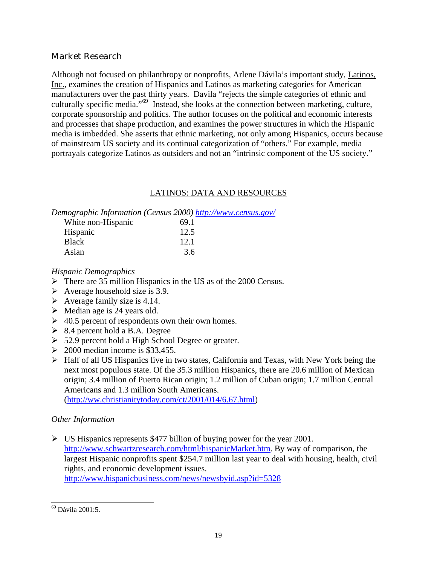# <span id="page-19-0"></span>Market Research

Although not focused on philanthropy or nonprofits, Arlene Dávila's important study, Latinos, Inc., examines the creation of Hispanics and Latinos as marketing categories for American manufacturers over the past thirty years. Davila "rejects the simple categories of ethnic and culturally specific media."[69](#page-19-1) Instead, she looks at the connection between marketing, culture, corporate sponsorship and politics. The author focuses on the political and economic interests and processes that shape production, and examines the power structures in which the Hispanic media is imbedded. She asserts that ethnic marketing, not only among Hispanics, occurs because of mainstream US society and its continual categorization of "others." For example, media portrayals categorize Latinos as outsiders and not an "intrinsic component of the US society."

# LATINOS: DATA AND RESOURCES

*Demographic Information (Census 2000) <http://www.census.gov/>*

| 69.1 |
|------|
| 12.5 |
| 12.1 |
| 3.6  |
|      |

*Hispanic Demographics* 

- $\triangleright$  There are 35 million Hispanics in the US as of the 2000 Census.
- $\triangleright$  Average household size is 3.9.
- $\triangleright$  Average family size is 4.14.
- $\triangleright$  Median age is 24 years old.
- $\geq 40.5$  percent of respondents own their own homes.
- $\geq$  8.4 percent hold a B.A. Degree
- ¾ 52.9 percent hold a High School Degree or greater.
- $\geq 2000$  median income is \$33,455.
- $\triangleright$  Half of all US Hispanics live in two states, California and Texas, with New York being the next most populous state. Of the 35.3 million Hispanics, there are 20.6 million of Mexican origin; 3.4 million of Puerto Rican origin; 1.2 million of Cuban origin; 1.7 million Central Americans and 1.3 million South Americans. (<http://ww.christianitytoday.com/ct/2001/014/6.67.html>)

# *Other Information*

 $\triangleright$  US Hispanics represents \$477 billion of buying power for the year 2001. [http://www.schwartzresearch.com/html/hispanicMarket.htm.](http://www.schwartzresearch.com/html/hispanicMarket.htm) By way of comparison, the largest Hispanic nonprofits spent \$254.7 million last year to deal with housing, health, civil rights, and economic development issues. <http://www.hispanicbusiness.com/news/newsbyid.asp?id=5328>

<span id="page-19-1"></span> $\overline{a}$  $69$  Dávila 2001:5.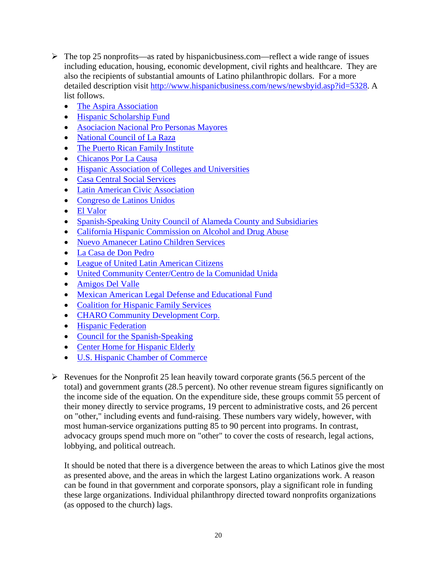- $\triangleright$  The top 25 nonprofits—as rated by hispanicbusiness.com—reflect a wide range of issues including education, housing, economic development, civil rights and healthcare. They are also the recipients of substantial amounts of Latino philanthropic dollars. For a more detailed description visit [http://www.hispanicbusiness.com/news/newsbyid.asp?id=5328.](http://www.hispanicbusiness.com/news/newsbyid.asp?id=5328) A list follows.
	- [The Aspira Association](http://www.hispanicbusiness.com/news/newsbyid.asp?id=5302)
	- [Hispanic Scholarship Fund](http://www.hispanicbusiness.com/news/newsbyid.asp?id=5303)
	- [Asociacion Nacional Pro Personas Mayores](http://www.hispanicbusiness.com/news/newsbyid.asp?id=5304)
	- [National Council of La Raza](http://www.hispanicbusiness.com/news/newsbyid.asp?id=5305)
	- [The Puerto Rican Family Institute](http://www.hispanicbusiness.com/news/newsbyid.asp?id=5306)
	- [Chicanos Por La Causa](http://www.hispanicbusiness.com/news/newsbyid.asp?id=5307)
	- [Hispanic Association of Colleges and Universities](http://www.hispanicbusiness.com/news/newsbyid.asp?id=5308)
	- [Casa Central Social Services](http://www.hispanicbusiness.com/news/newsbyid.asp?id=5309)
	- [Latin American Civic Association](http://www.hispanicbusiness.com/news/newsbyid.asp?id=5311)
	- [Congreso de Latinos Unidos](http://www.hispanicbusiness.com/news/newsbyid.asp?id=5312)
	- [El Valor](http://www.hispanicbusiness.com/news/newsbyid.asp?id=5313)
	- [Spanish-Speaking Unity Council of Alameda County and Subsidiaries](http://www.hispanicbusiness.com/news/newsbyid.asp?id=5314)
	- [California Hispanic Commission on Alcohol and Drug Abuse](http://www.hispanicbusiness.com/news/newsbyid.asp?id=5315)
	- [Nuevo Amanecer Latino Children Services](http://www.hispanicbusiness.com/news/newsbyid.asp?id=5316)
	- [La Casa de Don Pedro](http://www.hispanicbusiness.com/news/newsbyid.asp?id=5317)
	- [League of United Latin American Citizens](http://www.hispanicbusiness.com/news/newsbyid.asp?id=5318)
	- [United Community Center/Centro de la Comunidad Unida](http://www.hispanicbusiness.com/news/newsbyid.asp?id=5319)
	- [Amigos Del Valle](http://www.hispanicbusiness.com/news/newsbyid.asp?id=5320)
	- [Mexican American Legal Defense and Educational Fund](http://www.hispanicbusiness.com/news/newsbyid.asp?id=5321)
	- [Coalition for Hispanic Family Services](http://www.hispanicbusiness.com/news/newsbyid.asp?id=5322)
	- [CHARO Community Development Corp.](http://www.hispanicbusiness.com/news/newsbyid.asp?id=5323)
	- [Hispanic Federation](http://www.hispanicbusiness.com/news/newsbyid.asp?id=5324)
	- [Council for the Spanish-Speaking](http://www.hispanicbusiness.com/news/newsbyid.asp?id=5325)
	- [Center Home for Hispanic Elderly](http://www.hispanicbusiness.com/news/newsbyid.asp?id=5326)
	- [U.S. Hispanic Chamber of Commerce](http://www.hispanicbusiness.com/news/newsbyid.asp?id=5327)
- $\triangleright$  Revenues for the Nonprofit 25 lean heavily toward corporate grants (56.5 percent of the total) and government grants (28.5 percent). No other revenue stream figures significantly on the income side of the equation. On the expenditure side, these groups commit 55 percent of their money directly to service programs, 19 percent to administrative costs, and 26 percent on "other," including events and fund-raising. These numbers vary widely, however, with most human-service organizations putting 85 to 90 percent into programs. In contrast, advocacy groups spend much more on "other" to cover the costs of research, legal actions, lobbying, and political outreach.

It should be noted that there is a divergence between the areas to which Latinos give the most as presented above, and the areas in which the largest Latino organizations work. A reason can be found in that government and corporate sponsors, play a significant role in funding these large organizations. Individual philanthropy directed toward nonprofits organizations (as opposed to the church) lags.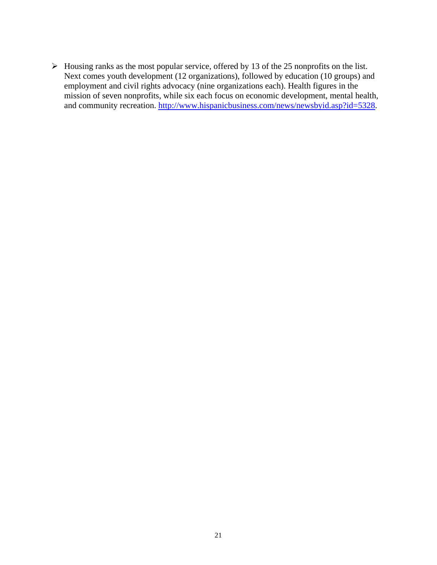$\triangleright$  Housing ranks as the most popular service, offered by 13 of the 25 nonprofits on the list. Next comes youth development (12 organizations), followed by education (10 groups) and employment and civil rights advocacy (nine organizations each). Health figures in the mission of seven nonprofits, while six each focus on economic development, mental health, and community recreation. [http://www.hispanicbusiness.com/news/newsbyid.asp?id=5328.](http://www.hispanicbusiness.com/news/newsbyid.asp?id=5328)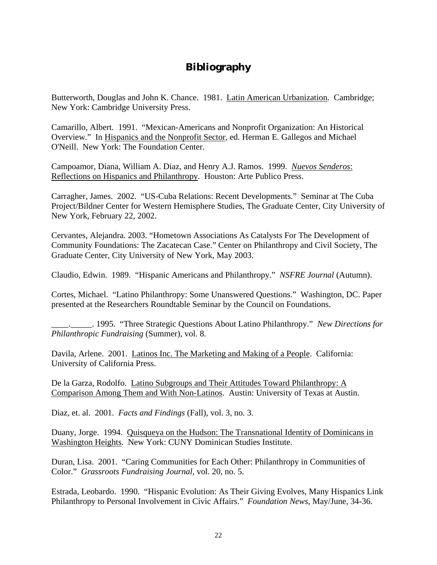# **Bibliography**

<span id="page-22-0"></span>Butterworth, Douglas and John K. Chance. 1981. Latin American Urbanization. Cambridge; New York: Cambridge University Press.

Camarillo, Albert. 1991. "Mexican-Americans and Nonprofit Organization: An Historical Overview." In Hispanics and the Nonprofit Sector, ed. Herman E. Gallegos and Michael O'Neill. New York: The Foundation Center.

Campoamor, Diana, William A. Diaz, and Henry A.J. Ramos. 1999. *Nuevos Senderos*: Reflections on Hispanics and Philanthropy. Houston: Arte Publico Press.

Carragher, James. 2002. "US-Cuba Relations: Recent Developments." Seminar at The Cuba Project/Bildner Center for Western Hemisphere Studies, The Graduate Center, City University of New York, February 22, 2002.

Cervantes, Alejandra. 2003. "Hometown Associations As Catalysts For The Development of Community Foundations: The Zacatecan Case." Center on Philanthropy and Civil Society, The Graduate Center, City University of New York, May 2003.

Claudio, Edwin. 1989. "Hispanic Americans and Philanthropy." *NSFRE Journal* (Autumn).

Cortes, Michael. "Latino Philanthropy: Some Unanswered Questions." Washington, DC. Paper presented at the Researchers Roundtable Seminar by the Council on Foundations.

\_\_\_\_.\_\_\_\_\_. 1995. "Three Strategic Questions About Latino Philanthropy." *New Directions for Philanthropic Fundraising* (Summer), vol. 8.

Davila, Arlene. 2001. Latinos Inc. The Marketing and Making of a People. California: University of California Press.

De la Garza, Rodolfo. Latino Subgroups and Their Attitudes Toward Philanthropy: A Comparison Among Them and With Non-Latinos. Austin: University of Texas at Austin.

Diaz, et. al. 2001. *Facts and Findings* (Fall), vol. 3, no. 3.

Duany, Jorge. 1994. Quisqueya on the Hudson: The Transnational Identity of Dominicans in Washington Heights. New York: CUNY Dominican Studies Institute.

Duran, Lisa. 2001. "Caring Communities for Each Other: Philanthropy in Communities of Color." *Grassroots Fundraising Journal*, vol. 20, no. 5.

Estrada, Leobardo. 1990. "Hispanic Evolution: As Their Giving Evolves, Many Hispanics Link Philanthropy to Personal Involvement in Civic Affairs." *Foundation News*, May/June, 34-36.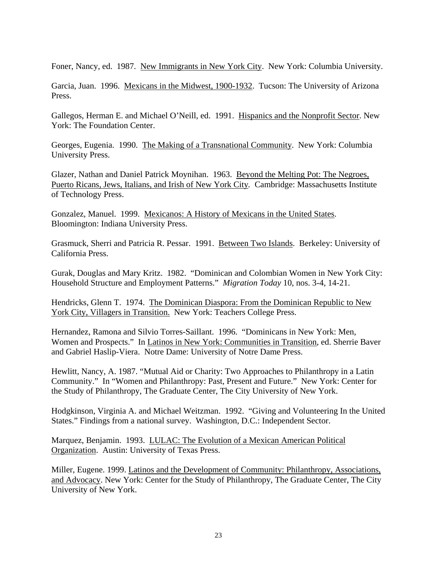Foner, Nancy, ed. 1987. New Immigrants in New York City. New York: Columbia University.

Garcia, Juan. 1996. Mexicans in the Midwest, 1900-1932. Tucson: The University of Arizona Press.

Gallegos, Herman E. and Michael O'Neill, ed. 1991. Hispanics and the Nonprofit Sector. New York: The Foundation Center.

Georges, Eugenia. 1990. The Making of a Transnational Community. New York: Columbia University Press.

Glazer, Nathan and Daniel Patrick Moynihan. 1963. Beyond the Melting Pot: The Negroes, Puerto Ricans, Jews, Italians, and Irish of New York City*.* Cambridge: Massachusetts Institute of Technology Press.

Gonzalez, Manuel. 1999. Mexicanos: A History of Mexicans in the United States. Bloomington: Indiana University Press.

Grasmuck, Sherri and Patricia R. Pessar. 1991. Between Two Islands. Berkeley: University of California Press.

Gurak, Douglas and Mary Kritz. 1982. "Dominican and Colombian Women in New York City: Household Structure and Employment Patterns." *Migration Today* 10, nos. 3-4, 14-21.

Hendricks, Glenn T. 1974. The Dominican Diaspora: From the Dominican Republic to New York City, Villagers in Transition. New York: Teachers College Press.

Hernandez, Ramona and Silvio Torres-Saillant. 1996. "Dominicans in New York: Men, Women and Prospects." In Latinos in New York: Communities in Transition, ed. Sherrie Baver and Gabriel Haslip-Viera. Notre Dame: University of Notre Dame Press.

Hewlitt, Nancy, A. 1987. "Mutual Aid or Charity: Two Approaches to Philanthropy in a Latin Community." In "Women and Philanthropy: Past, Present and Future." New York: Center for the Study of Philanthropy, The Graduate Center, The City University of New York.

Hodgkinson, Virginia A. and Michael Weitzman. 1992. "Giving and Volunteering In the United States." Findings from a national survey. Washington, D.C.: Independent Sector.

Marquez, Benjamin. 1993. LULAC: The Evolution of a Mexican American Political Organization. Austin: University of Texas Press.

Miller, Eugene. 1999. Latinos and the Development of Community: Philanthropy, Associations, and Advocacy. New York: Center for the Study of Philanthropy, The Graduate Center, The City University of New York.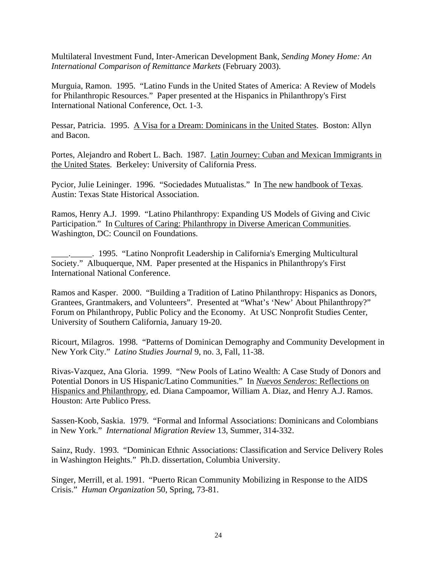Multilateral Investment Fund, Inter-American Development Bank, *Sending Money Home: An International Comparison of Remittance Markets* (February 2003).

Murguia, Ramon. 1995. "Latino Funds in the United States of America: A Review of Models for Philanthropic Resources." Paper presented at the Hispanics in Philanthropy's First International National Conference, Oct. 1-3.

Pessar, Patricia. 1995. A Visa for a Dream: Dominicans in the United States. Boston: Allyn and Bacon.

Portes, Alejandro and Robert L. Bach. 1987. Latin Journey: Cuban and Mexican Immigrants in the United States. Berkeley: University of California Press.

Pycior, Julie Leininger. 1996. "Sociedades Mutualistas." In The new handbook of Texas. Austin: Texas State Historical Association.

Ramos, Henry A.J. 1999. "Latino Philanthropy: Expanding US Models of Giving and Civic Participation." In Cultures of Caring: Philanthropy in Diverse American Communities. Washington, DC: Council on Foundations.

\_\_\_\_.\_\_\_\_\_. 1995. "Latino Nonprofit Leadership in California's Emerging Multicultural Society." Albuquerque, NM. Paper presented at the Hispanics in Philanthropy's First International National Conference.

Ramos and Kasper. 2000. "Building a Tradition of Latino Philanthropy: Hispanics as Donors, Grantees, Grantmakers, and Volunteers". Presented at "What's 'New' About Philanthropy?" Forum on Philanthropy, Public Policy and the Economy. At USC Nonprofit Studies Center, University of Southern California, January 19-20.

Ricourt, Milagros. 1998. "Patterns of Dominican Demography and Community Development in New York City." *Latino Studies Journal* 9, no. 3, Fall, 11-38.

Rivas-Vazquez, Ana Gloria. 1999. "New Pools of Latino Wealth: A Case Study of Donors and Potential Donors in US Hispanic/Latino Communities." In *Nuevos Senderos*: Reflections on Hispanics and Philanthropy, ed. Diana Campoamor, William A. Diaz, and Henry A.J. Ramos. Houston: Arte Publico Press.

Sassen-Koob, Saskia. 1979. "Formal and Informal Associations: Dominicans and Colombians in New York." *International Migration Review* 13, Summer, 314-332.

Sainz, Rudy. 1993. "Dominican Ethnic Associations: Classification and Service Delivery Roles in Washington Heights." Ph.D. dissertation, Columbia University.

Singer, Merrill, et al. 1991. "Puerto Rican Community Mobilizing in Response to the AIDS Crisis." *Human Organization* 50, Spring, 73-81.